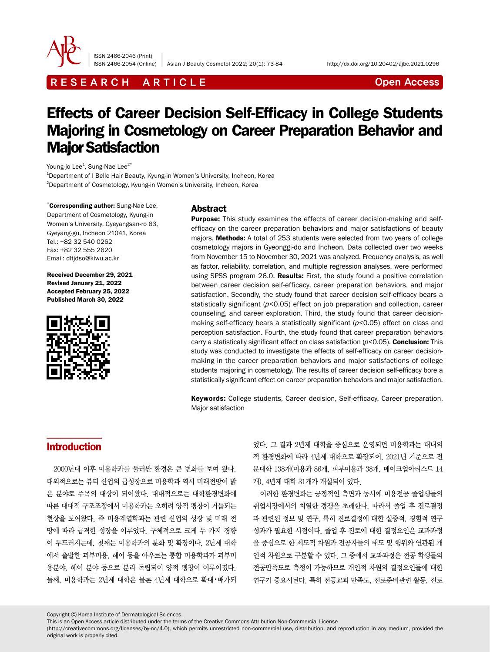

ISSN 2466-2046 (Print)

ISSN 2466-2054 (Online) Asian J Beauty Cosmetol 2022; 20(1): 73-84 http://dx.doi.org/10.20402/ajbc.2021.0296

## R E S E A R C H A R T I C L E CHE COME CONTROLLER CONTROLLER CONTROLLER CONTROLLER CONTROLLER CONTROLLER CONTROLLER CONTROLLER CONTROLLER CONTROLLER CONTROLLER CONTROLLER CONTROLLER CONTROLLER CONTROLLER CONTROLLER CONTROL

# Effects of Career Decision Self-Efficacy in College Students Majoring in Cosmetology on Career Preparation Behavior and Major Satisfaction

Young-jo Lee<sup>1</sup>, Sung-Nae Lee<sup>2\*</sup> <sup>1</sup>Department of I Belle Hair Beauty, Kyung-in Women's University, Incheon, Korea  $^{2}$ Department of Cosmetology, Kyung-in Women's University, Incheon, Korea

\*Corresponding author: Sung-Nae Lee, Department of Cosmetology, Kyung-in Women's University, Gyeyangsan-ro 63, Gyeyang-gu, Incheon 21041, Korea Tel.: +82 32 540 0262 Fax: +82 32 555 2620 Email: dltjdso@kiwu.ac.kr

Received December 29, 2021 Revised January 21, 2022 Accepted February 25, 2022 Published March 30, 2022



#### Abstract

Purpose: This study examines the effects of career decision-making and selfefficacy on the career preparation behaviors and major satisfactions of beauty majors. Methods: A total of 253 students were selected from two years of college cosmetology majors in Gyeonggi-do and Incheon. Data collected over two weeks from November 15 to November 30, 2021 was analyzed. Frequency analysis, as well as factor, reliability, correlation, and multiple regression analyses, were performed using SPSS program 26.0. Results: First, the study found a positive correlation between career decision self-efficacy, career preparation behaviors, and major satisfaction. Secondly, the study found that career decision self-efficacy bears a statistically significant ( $p$ <0.05) effect on job preparation and collection, career counseling, and career exploration. Third, the study found that career decisionmaking self-efficacy bears a statistically significant  $(p<0.05)$  effect on class and perception satisfaction. Fourth, the study found that career preparation behaviors carry a statistically significant effect on class satisfaction  $(p<0.05)$ . Conclusion: This study was conducted to investigate the effects of self-efficacy on career decisionmaking in the career preparation behaviors and major satisfactions of college students majoring in cosmetology. The results of career decision self-efficacy bore a statistically significant effect on career preparation behaviors and major satisfaction.

Keywords: College students, Career decision, Self-efficacy, Career preparation, Major satisfaction

## **Introduction**

2000년대 이후 미용학과를 둘러싼 환경은 큰 변화를 보여 왔다. 대외적으로는 뷰티 산업의 급성장으로 미용학과 역시 미래전망이 밝 은 분야로 주목의 대상이 되어왔다. 대내적으로는 대학환경변화에 따른 대대적 구조조정에서 미용학과는 오히려 양적 팽창이 거듭되는 현상을 보여왔다. 즉 미용계열학과는 관련 산업의 성장 및 미래 전 망에 따라 급격한 성장을 이루었다. 구체적으로 크게 두 가지 경향 이 두드러지는데, 첫째는 미용학과의 분화 및 확장이다. 2년제 대학 에서 출발한 피부미용, 헤어 등을 아우르는 통합 미용학과가 피부미 용분야, 헤어 분야 등으로 분리 독립되어 양적 팽창이 이루어졌다. 둘째, 미용학과는 2년제 대학은 물론 4년제 대학으로 확대•배가되

었다. 그 결과 2년제 대학을 중심으로 운영되던 미용학과는 대내외 적 환경변화에 따라 4년제 대학으로 확장되어, 2021년 기준으로 전 문대학 138개(미용과 86개, 피부미용과 38개, 메이크업아티스트 14 개), 4년제 대학 31개가 개설되어 있다.

이러한 환경변화는 긍정적인 측면과 동시에 미용전공 졸업생들의 취업시장에서의 치열한 경쟁을 초래한다. 따라서 졸업 후 진로결정 과 관련된 정보 및 연구, 특히 진로결정에 대한 실증적, 경험적 연구 성과가 필요한 시점이다. 졸업 후 진로에 대한 결정요인은 교과과정 을 중심으로 한 제도적 차원과 전공자들의 태도 및 행위와 연관된 개 인적 차원으로 구분할 수 있다. 그 중에서 교과과정은 전공 학생들의 전공만족도로 측정이 가능하므로 개인적 차원의 결정요인들에 대한 연구가 중요시된다. 특히 전공교과 만족도, 진로준비관련 활동, 진로

Copyright ⓒ Korea Institute of Dermatological Sciences.

This is an Open Access article distributed under the terms of the Creative Commons Attribution Non-Commercial License

(http://creativecommons.org/licenses/by-nc/4.0), which permits unrestricted non-commercial use, distribution, and reproduction in any medium, provided the original work is properly cited.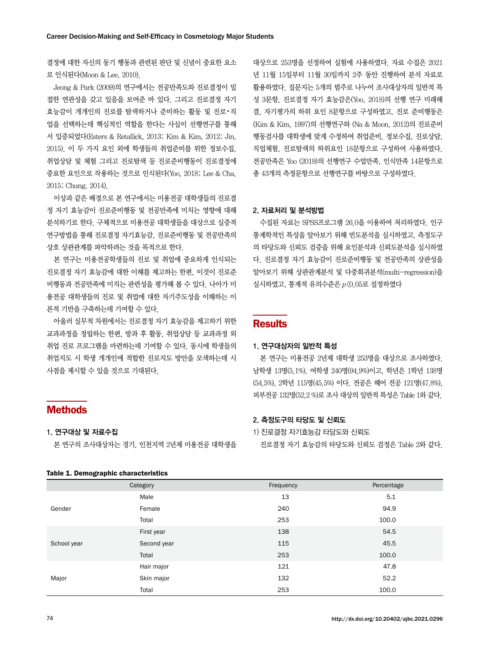결정에 대한 자신의 동기 행동과 관련된 판단 및 신념이 중요한 요소 로 인식된다(Moon & Lee, 2010).

Jeong & Park (2009)의 연구에서는 전공만족도와 진로결정이 밀 접한 연관성을 갖고 있음을 보여준 바 있다. 그리고 진로결정 자기 효능감이 개개인의 진로를 탐색하거나 준비하는 활동 및 진로•직 업을 선택하는데 핵심적인 역할을 한다는 사실이 선행연구를 통해 서 입증되었다(Esters & Retallick, 2013; Kim & Kim, 2012; Jin, 2015). 이 두 가지 요인 외에 학생들의 취업준비를 위한 정보수집, 취업상담 및 체험 그리고 진로탐색 등 진로준비행동이 진로결정에 중요한 요인으로 작용하는 것으로 인식된다(Yoo, 2018; Lee & Cha, 2015; Chung, 2014).

이상과 같은 배경으로 본 연구에서는 미용전공 대학생들의 진로결 정 자기 효능감이 진로준비행동 및 전공만족에 미치는 영향에 대해 분석하기로 한다. 구체적으로 미용전공 대학생들을 대상으로 실증적 연구방법을 통해 진로결정 자기효능감, 진로준비행동 및 전공만족의 상호 상관관계를 파악하려는 것을 목적으로 한다.

본 연구는 미용전공학생들의 진로 및 취업에 중요하게 인식되는 진로결정 자기 효능감에 대한 이해를 제고하는 한편, 이것이 진로준 비행동과 전공만족에 미치는 관련성을 평가해 볼 수 있다. 나아가 미 용전공 대학생들의 진로 및 취업에 대한 자기주도성을 이해하는 이 론적 기반을 구축하는데 기여할 수 있다.

아울러 실무적 차원에서는 진로결정 자기 효능감을 제고하기 위한 교과과정을 정립하는 한편, 방과 후 활동, 취업상담 등 교과과정 외 취업 진로 프로그램을 마련하는데 기여할 수 있다. 동시에 학생들의 취업지도 시 학생 개개인에 적합한 진로지도 방안을 모색하는데 시 사점을 제시할 수 있을 것으로 기대된다.

## 대상으로 253명을 선정하여 실험에 사용하였다. 자료 수집은 2021 년 11월 15일부터 11월 30일까지 2주 동안 진행하여 분석 자료로 활용하였다. 질문지는 5개의 범주로 나누어 조사대상자의 일반적 특 성 3문항, 진로결정 자기 효능감은(Yoo, 2018)의 선행 연구 미래해 결, 자기평가의 하위 요인 8문항으로 구성하였고, 진로 준비행동은 (Kim & Kim, 1997)의 선행연구와 (Na & Moon, 2012)의 진로준비 행동검사를 대학생에 맞게 수정하여 취업준비, 정보수집, 진로상담, 직업체험, 진로탐색의 하위요인 18문항으로 구성하여 사용하였다. 전공만족은 Yoo (2019)의 선행연구 수업만족, 인식만족 14문항으로 총 43개의 측정문항으로 선행연구를 바탕으로 구성하였다.

#### 2. 자료처리 및 분석방법

수집된 자료는 SPSS프로그램 26.0을 이용하여 처리하였다. 인구 통계학적인 특성을 알아보기 위해 빈도분석을 실시하였고, 측정도구 의 타당도와 신뢰도 검증을 위해 요인분석과 신뢰도분석을 실시하였 다. 진로결정 자기 효능감이 진로준비행동 및 전공만족의 상관성을 알아보기 위해 상관관계분석 및 다중회귀분석(multi-regression)을 실시하였고, 통계적 유의수준은 p<0.05로 설정하였다

#### **Results**

#### 1. 연구대상자의 일반적 특성

본 연구는 미용전공 2년제 대학생 253명을 대상으로 조사하였다. 남학생 13명(5.1%), 여학생 240명(94.9%)이고, 학년은 1학년 138명 (54.5%), 2학년 115명(45.5%) 이다. 전공은 헤어 전공 121명(47.8%), 피부전공 132명(52.2 %)로 조사 대상의 일반적 특성은 Table 1와 같다.

#### 2. 측정도구의 타당도 및 신뢰도

1) 진로결정 자기효능감 타당도와 신뢰도

진로결정 자기 효능감의 타당도와 신뢰도 검정은 Table 2와 같다.

|             | Table 1. Demographic characteristics |           |            |  |  |  |  |
|-------------|--------------------------------------|-----------|------------|--|--|--|--|
|             | Category                             | Frequency | Percentage |  |  |  |  |
|             | Male                                 | 13        | 5.1        |  |  |  |  |
| Gender      | Female                               | 240       | 94.9       |  |  |  |  |
|             | Total                                | 253       | 100.0      |  |  |  |  |
|             | First year                           | 138       | 54.5       |  |  |  |  |
| School year | Second year                          | 115       | 45.5       |  |  |  |  |
|             | Total                                | 253       | 100.0      |  |  |  |  |
|             | Hair major                           | 121       | 47.8       |  |  |  |  |
| Major       | Skin major                           | 132       | 52.2       |  |  |  |  |
|             | Total                                | 253       | 100.0      |  |  |  |  |

## **Methods**

- 1. 연구대상 및 자료수집
	- 본 연구의 조사대상자는 경기, 인천지역 2년제 미용전공 대학생을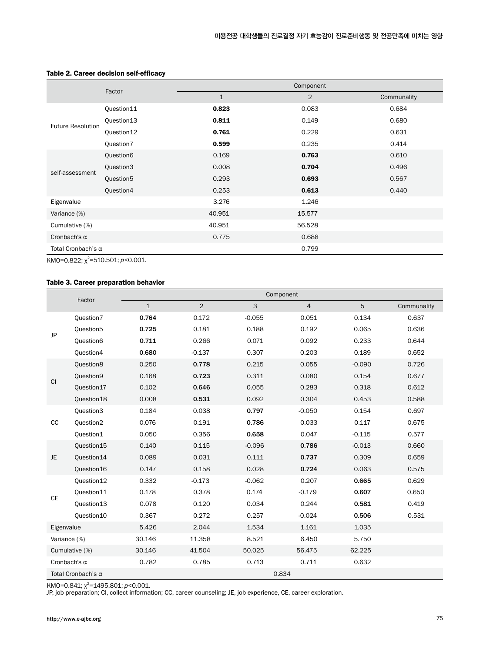|                           | Factor     |              | Component |             |
|---------------------------|------------|--------------|-----------|-------------|
|                           |            | $\mathbf{1}$ | 2         | Communality |
|                           | Question11 | 0.823        | 0.083     | 0.684       |
| <b>Future Resolution</b>  | Question13 | 0.811        | 0.149     | 0.680       |
|                           | Question12 | 0.761        | 0.229     | 0.631       |
|                           | Question7  | 0.599        | 0.235     | 0.414       |
|                           | Question6  | 0.169        | 0.763     | 0.610       |
|                           | Question3  | 0.008        | 0.704     | 0.496       |
| self-assessment           | Question5  | 0.293        | 0.693     | 0.567       |
|                           | Question4  | 0.253        | 0.613     | 0.440       |
| Eigenvalue                |            | 3.276        | 1.246     |             |
| Variance (%)              |            | 40.951       | 15.577    |             |
| Cumulative (%)            |            | 40.951       | 56.528    |             |
| Cronbach's $\alpha$       |            | 0.775        | 0.688     |             |
| Total Cronbach's $\alpha$ |            |              | 0.799     |             |

#### Table 2. Career decision self-efficacy

KM0=0.822; χ<sup>2</sup>=510.501; *p*<0.001.

#### Table 3. Career preparation behavior

|              |                           |             |                |              | Component      |          |             |
|--------------|---------------------------|-------------|----------------|--------------|----------------|----------|-------------|
|              | Factor                    | $\mathbf 1$ | $\overline{2}$ | $\mathsf{3}$ | $\overline{4}$ | 5        | Communality |
|              | Question7                 | 0.764       | 0.172          | $-0.055$     | 0.051          | 0.134    | 0.637       |
| JP           | Question5                 | 0.725       | 0.181          | 0.188        | 0.192          | 0.065    | 0.636       |
|              | Question6                 | 0.711       | 0.266          | 0.071        | 0.092          | 0.233    | 0.644       |
|              | Question4                 | 0.680       | $-0.137$       | 0.307        | 0.203          | 0.189    | 0.652       |
|              | Question8                 | 0.250       | 0.778          | 0.215        | 0.055          | $-0.090$ | 0.726       |
|              | Question9                 | 0.168       | 0.723          | 0.311        | 0.080          | 0.154    | 0.677       |
| <b>CI</b>    | Question17                | 0.102       | 0.646          | 0.055        | 0.283          | 0.318    | 0.612       |
|              | Question18                | 0.008       | 0.531          | 0.092        | 0.304          | 0.453    | 0.588       |
|              | Question3                 | 0.184       | 0.038          | 0.797        | $-0.050$       | 0.154    | 0.697       |
| cc           | Question2                 | 0.076       | 0.191          | 0.786        | 0.033          | 0.117    | 0.675       |
|              | Question1                 | 0.050       | 0.356          | 0.658        | 0.047          | $-0.115$ | 0.577       |
|              | Question15                | 0.140       | 0.115          | $-0.096$     | 0.786          | $-0.013$ | 0.660       |
| JE.          | Question14                | 0.089       | 0.031          | 0.111        | 0.737          | 0.309    | 0.659       |
|              | Question16                | 0.147       | 0.158          | 0.028        | 0.724          | 0.063    | 0.575       |
|              | Question12                | 0.332       | $-0.173$       | $-0.062$     | 0.207          | 0.665    | 0.629       |
| <b>CE</b>    | Question11                | 0.178       | 0.378          | 0.174        | $-0.179$       | 0.607    | 0.650       |
|              | Question13                | 0.078       | 0.120          | 0.034        | 0.244          | 0.581    | 0.419       |
|              | Question10                | 0.367       | 0.272          | 0.257        | $-0.024$       | 0.506    | 0.531       |
| Eigenvalue   |                           | 5.426       | 2.044          | 1.534        | 1.161          | 1.035    |             |
| Variance (%) |                           | 30.146      | 11.358         | 8.521        | 6.450          | 5.750    |             |
|              | Cumulative (%)            | 30.146      | 41.504         | 50.025       | 56.475         | 62.225   |             |
|              | Cronbach's $\alpha$       | 0.782       | 0.785          | 0.713        | 0.711          | 0.632    |             |
|              | Total Cronbach's $\alpha$ |             |                |              | 0.834          |          |             |

KM0=0.841;  $\chi^2$ =1495.801;  $p$ <0.001.

JP, job preparation; CI, collect information; CC, career counseling; JE, job experience, CE, career exploration.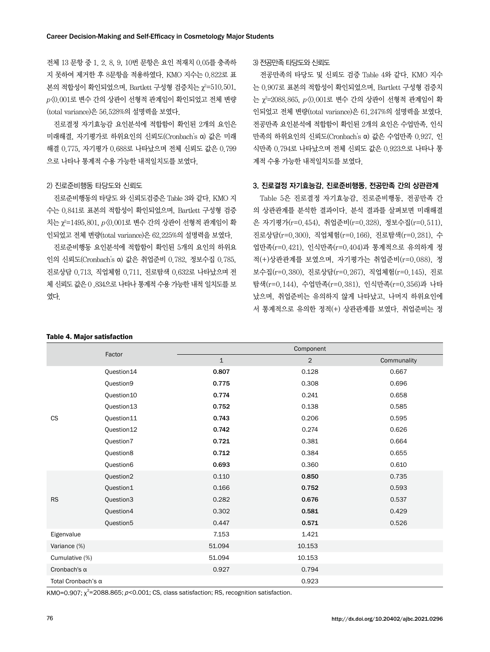전체 13 문항 중 1. 2. 8, 9, 10번 문항은 요인 적재치 0.05를 충족하 지 못하여 제거한 후 8문항을 적용하였다. KMO 지수는 0.822로 표 본의 적합성이 확인되었으며, Bartlett 구성형 검증치는 χ²=510.501, <sup>p</sup><0.001로 변수 간의 상관이 선형적 관계임이 확인되었고 전체 변량 (total variance)은 56.528%의 설명력을 보였다.

진로결정 자기효능감 요인분석에 적합함이 확인된 2개의 요인은 미래해결, 자기평가로 하위요인의 신뢰도(Cronbach's α) 값은 미래 해결 0.775, 자기평가 0.688로 나타났으며 전체 신뢰도 값은 0.799 으로 나타나 통계적 수용 가능한 내적일치도를 보였다.

#### 2) 진로준비행동 타당도와 신뢰도

진로준비행동의 타당도 와 신뢰도검증은 Table 3와 같다. KMO 지 수는 0.841로 표본의 적합성이 확인되었으며, Bartlett 구성형 검증 치는  $\chi^2$ =1495.801,  $p\langle 0.001$ 로 변수 간의 상관이 선형적 관계임이 확 인되었고 전체 변량(total variance)은 62.225%의 설명력을 보였다.

진로준비행동 요인분석에 적합함이 확인된 5개의 요인의 하위요 인의 신뢰도(Cronbach's α) 값은 취업준비 0.782, 정보수집 0.785, 진로상담 0.713, 직업체험 0.711, 진로탐색 0.632로 나타났으며 전 체 신뢰도 값은 0 .834으로 나타나 통계적 수용 가능한 내적 일치도를 보 였다.

#### Table 4. Major satisfaction

#### 3) 전공만족 타당도와 신뢰도

전공만족의 타당도 및 신뢰도 검증 Table 4와 같다. KMO 지수 는 0.907로 표본의 적합성이 확인되었으며, Bartlett 구성형 검증치 는  $\chi$ =2088.865,  $p\langle 0.001$ 로 변수 간의 상관이 선형적 관계임이 확 인되었고 전체 변량(total variance)은 61.247%의 설명력을 보였다. 전공만족 요인분석에 적합함이 확인된 2개의 요인은 수업만족, 인식 만족의 하위요인의 신뢰도(Cronbach's α) 값은 수업만족 0.927, 인 식만족 0.794로 나타났으며 전체 신뢰도 값은 0.923으로 나타나 통 계적 수용 가능한 내적일치도를 보였다.

#### 3. 진로결정 자기효능감, 진로준비행동, 전공만족 간의 상관관계

Table 5은 진로결정 자기효능감, 진로준비행동, 전공만족 간 의 상관관계를 분석한 결과이다. 분석 결과를 살펴보면 미래해결 은 자기평가(r=0.454), 취업준비(r=0.328), 정보수집(r=0.511), 진로상담(r=0.300), 직업체험(r=0.166), 진로탐색(r=0.281), 수 업만족(r=0.421), 인식만족(r=0.404)과 통계적으로 유의하게 정 적(+)상관관계를 보였으며, 자기평가는 취업준비(r=0.088), 정 보수집(r=0.380), 진로상담(r=0.267), 직업체험(r=0.145), 진로 탐색(r=0.144), 수업만족(r=0.381), 인식만족(r=0.356)과 나타 났으며, 취업준비는 유의하지 않게 나타났고, 나머지 하위요인에 서 통계적으로 유의한 정적(+) 상관관계를 보였다. 취업준비는 정

|                     | Factor                |              | Component      |             |  |  |  |
|---------------------|-----------------------|--------------|----------------|-------------|--|--|--|
|                     |                       | $\mathbf{1}$ | $\overline{2}$ | Communality |  |  |  |
|                     | Question14            | 0.807        | 0.128          | 0.667       |  |  |  |
|                     | Question9             | 0.775        | 0.308          | 0.696       |  |  |  |
|                     | Question 10           | 0.774        | 0.241          | 0.658       |  |  |  |
|                     | Question13            | 0.752        | 0.138          | 0.585       |  |  |  |
| CS                  | Question11            | 0.743        | 0.206          | 0.595       |  |  |  |
|                     | Question12            | 0.742        | 0.274          | 0.626       |  |  |  |
|                     | Question7             | 0.721        | 0.381          | 0.664       |  |  |  |
|                     | Question8             | 0.712        | 0.384          | 0.655       |  |  |  |
|                     | Question6             | 0.693        | 0.360          | 0.610       |  |  |  |
|                     | Question2             | 0.110        | 0.850          | 0.735       |  |  |  |
|                     | Question1             | 0.166        | 0.752          | 0.593       |  |  |  |
| <b>RS</b>           | Question3             | 0.282        | 0.676          | 0.537       |  |  |  |
|                     | Question4             | 0.302        | 0.581          | 0.429       |  |  |  |
|                     | Question <sub>5</sub> | 0.447        | 0.571          | 0.526       |  |  |  |
| Eigenvalue          |                       | 7.153        | 1.421          |             |  |  |  |
| Variance (%)        |                       | 51.094       | 10.153         |             |  |  |  |
| Cumulative (%)      |                       | 51.094       | 10.153         |             |  |  |  |
| Cronbach's $\alpha$ |                       | 0.927        | 0.794          |             |  |  |  |
| Total Cronbach's α  |                       |              | 0.923          |             |  |  |  |

KMO=0.907;  $\chi^2$ =2088.865;  $p$ <0.001; CS, class satisfaction; RS, recognition satisfaction.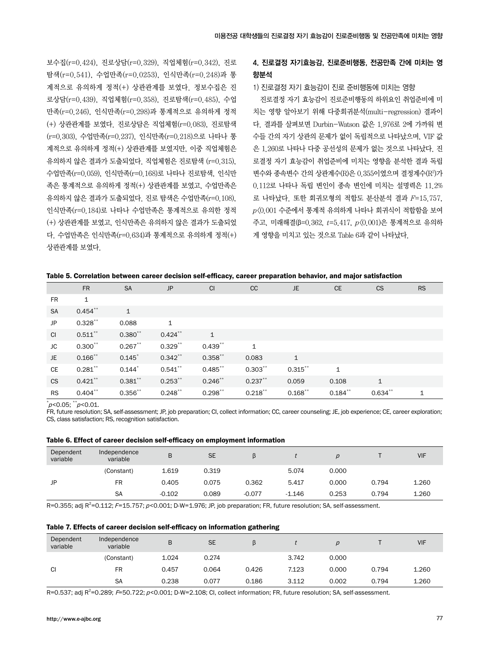보수집(r=0.424), 진로상담(r=0.329), 직업체험(r=0.342), 진로 탐색(r=0.541), 수업만족(r=0.0253), 인식만족(r=0.248)과 통 계적으로 유의하게 정적(+) 상관관계를 보였다. 정보수집은 진 로상담(r=0.439), 직업체험(r=0.358), 진로탐색(r=0.485), 수업 만족(r=0.246), 인식만족(r=0.298)과 통계적으로 유의하게 정적 (+) 상관관계를 보였다. 진로상담은 직업체험(r=0.083), 진로탐색 (r=0.303), 수업만족(r=0.237), 인식만족(r=0.218)으로 나타나 통 계적으로 유의하게 정적(+) 상관관계를 보였지만, 이중 직업체험은 유의하지 않은 결과가 도출되었다. 직업체험은 진로탐색 (r=0.315), 수업만족(r=0.059), 인식만족(r=0.168)로 나타나 진로탐색, 인식만 족은 통계적으로 유의하게 정적(+) 상관관계를 보였고, 수업만족은 유의하지 않은 결과가 도출되었다. 진로 탐색은 수업만족(r=0.108), 인식만족(r=0.184)로 나타나 수업만족은 통계적으로 유의한 정적 (+) 상관관계를 보였고, 인식만족은 유의하지 않은 결과가 도출되었 다. 수업만족은 인식만족(r=0.634)과 통계적으로 유의하게 정적(+) 상관관계를 보였다.

## 4. 진로결정 자기효능감, 진로준비행동, 전공만족 간에 미치는 영 향분석

#### 1) 진로결정 자기 효능감이 진로 준비행동에 미치는 영향

진로결정 자기 효능감이 진로준비행동의 하위요인 취업준비에 미 치는 영향 알아보기 위해 다중회귀분석(multi-regression) 결과이 다. 결과를 살펴보면 Durbin-Watson 값은 1.976로 2에 가까워 변 수들 간의 자기 상관의 문제가 없이 독립적으로 나타났으며, VIF 값 은 1.260로 나타나 다중 공선성의 문제가 없는 것으로 나타났다. 진 로결정 자기 효능감이 취업준비에 미치는 영향을 분석한 결과 독립 변수와 종속변수 간의 상관계수(R)은 0.355이였으며 결정계수(R²)가 0.112로 나타나 독립 변인이 종속 변인에 미치는 설명력은 11.2% 로 나타났다. 또한 회귀모형의 적합도 분산분석 결과 F=15.757,  $p(0.001 \leftarrow 0.001$  수준에서 통계적 유의하게 나타나 회귀식이 적합함을 보여 주고, 미래해결(β=0.362, t=5.417, p<0.001)은 통계적으로 유의하 게 영향을 미치고 있는 것으로 Table 6과 같이 나타났다.

| Table 5. Correlation between career decision self-efficacy, career preparation behavior, and major satisfaction |  |  |  |  |  |  |  |  |
|-----------------------------------------------------------------------------------------------------------------|--|--|--|--|--|--|--|--|
|-----------------------------------------------------------------------------------------------------------------|--|--|--|--|--|--|--|--|

|           | <b>FR</b>    | <b>SA</b>    | JP           | CI           | cc           | JE           | <b>CE</b>    | <b>CS</b>    | <b>RS</b> |
|-----------|--------------|--------------|--------------|--------------|--------------|--------------|--------------|--------------|-----------|
| <b>FR</b> | $\mathbf{1}$ |              |              |              |              |              |              |              |           |
| <b>SA</b> | $0.454***$   | $\mathbf{1}$ |              |              |              |              |              |              |           |
| JP        | $0.328**$    | 0.088        | $\mathbf{1}$ |              |              |              |              |              |           |
| <b>CI</b> | $0.511***$   | $0.380**$    | $0.424***$   | $\mathbf{1}$ |              |              |              |              |           |
| JC        | $0.300***$   | $0.267***$   | $0.329***$   | $0.439**$    | $\mathbf{1}$ |              |              |              |           |
| JE.       | $0.166$ **   | $0.145*$     | $0.342***$   | $0.358**$    | 0.083        | $\mathbf{1}$ |              |              |           |
| <b>CE</b> | $0.281$ **   | $0.144*$     | $0.541***$   | $0.485$ **   | $0.303**$    | $0.315$ **   | $\mathbf{1}$ |              |           |
| <b>CS</b> | $0.421***$   | $0.381***$   | $0.253***$   | $0.246$ **   | $0.237***$   | 0.059        | 0.108        | $\mathbf{1}$ |           |
| <b>RS</b> | $0.404***$   | $0.356***$   | $0.248***$   | $0.298***$   | $0.218***$   | $0.168$ **   | $0.184***$   | $0.634**$    | 1         |

 $p$ <0.05;  $p$ <0.01.

FR, future resolution; SA, self-assessment; JP, job preparation; CI, collect information; CC, career counseling; JE, job experience; CE, career exploration; CS, class satisfaction; RS, recognition satisfaction.

|  | Table 6. Effect of career decision self-efficacy on employment information |  |  |  |
|--|----------------------------------------------------------------------------|--|--|--|
|--|----------------------------------------------------------------------------|--|--|--|

| Dependent<br>variable | Independence<br>variable | B        | <b>SE</b> |          |          |       |       | <b>VIF</b> |
|-----------------------|--------------------------|----------|-----------|----------|----------|-------|-------|------------|
|                       | (Constant)               | 1.619    | 0.319     |          | 5.074    | 0.000 |       |            |
| JP                    | <b>FR</b>                | 0.405    | 0.075     | 0.362    | 5.417    | 0.000 | 0.794 | 1.260      |
|                       | <b>SA</b>                | $-0.102$ | 0.089     | $-0.077$ | $-1.146$ | 0.253 | 0.794 | 1.260      |

R=0.355; adj R<sup>2</sup>=0.112; *F*=15.757; *p<*0.001; D-W=1.976; JP, job preparation; FR, future resolution; SA, self-assessment.

| Table 7. Effects of career decision self-efficacy on information gathering |  |  |  |
|----------------------------------------------------------------------------|--|--|--|
|----------------------------------------------------------------------------|--|--|--|

| Dependent<br>variable | Independence<br>variable | B     | <b>SE</b> |       |       |       |       | <b>VIF</b> |
|-----------------------|--------------------------|-------|-----------|-------|-------|-------|-------|------------|
|                       | (Constant)               | 1.024 | 0.274     |       | 3.742 | 0.000 |       |            |
| <b>CI</b>             | FR                       | 0.457 | 0.064     | 0.426 | 7.123 | 0.000 | 0.794 | 1.260      |
|                       | <b>SA</b>                | 0.238 | 0.077     | 0.186 | 3.112 | 0.002 | 0.794 | 1.260      |

R=0.537; adj R<sup>2</sup>=0.289; *F*=50.722; *p<*0.001; D-W=2.108; CI, collect information; FR, future resolution; SA, self-assessment.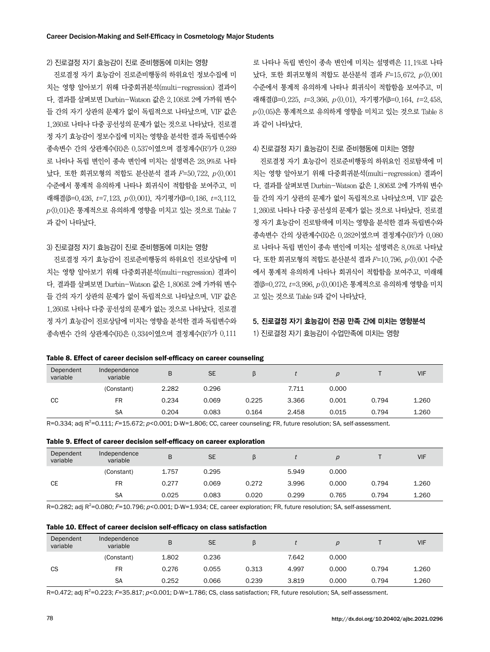#### 2) 진로결정 자기 효능감이 진로 준비행동에 미치는 영향

진로결정 자기 효능감이 진로준비행동의 하위요인 정보수집에 미 치는 영향 알아보기 위해 다중회귀분석(multi-regression) 결과이 다. 결과를 살펴보면 Durbin-Watson 값은 2.108로 2에 가까워 변수 들 간의 자기 상관의 문제가 없이 독립적으로 나타났으며, VIF 값은 1.260로 나타나 다중 공선성의 문제가 없는 것으로 나타났다. 진로결 정 자기 효능감이 정보수집에 미치는 영향을 분석한 결과 독립변수와 종속변수 간의 상관계수(R)은 0.537이였으며 결정계수(R2 )가 0.289 로 나타나 독립 변인이 종속 변인에 미치는 설명력은 28.9%로 나타 났다. 또한 회귀모형의 적합도 분산분석 결과 F=50.722, p<0.001 수준에서 통계적 유의하게 나타나 회귀식이 적합함을 보여주고, 미 래해결(β=0.426, t=7.123, p<0.001), 자기평가(β=0.186, t=3.112,  $p(0.01)$ 은 통계적으로 유의하게 영향을 미치고 있는 것으로 Table 7 과 같이 나타났다.

#### 3) 진로결정 자기 효능감이 진로 준비행동에 미치는 영향

진로결정 자기 효능감이 진로준비행동의 하위요인 진로상담에 미 치는 영향 알아보기 위해 다중회귀분석(multi-regression) 결과이 다. 결과를 살펴보면 Durbin-Watson 값은 1.806로 2에 가까워 변수 들 간의 자기 상관의 문제가 없이 독립적으로 나타났으며, VIF 값은 1.260로 나타나 다중 공선성의 문제가 없는 것으로 나타났다. 진로결 정 자기 효능감이 진로상담에 미치는 영향을 분석한 결과 독립변수와 종속변수 간의 상관계수(R)은 0.334이였으며 결정계수(R2 )가 0.111

로 나타나 독립 변인이 종속 변인에 미치는 설명력은 11.1%로 나타 났다. 또한 회귀모형의 적합도 분산분석 결과 F=15.672, p<0.001 수준에서 통계적 유의하게 나타나 회귀식이 적합함을 보여주고, 미 래해결(β=0.225, t=3.366, p<0.01), 자기평가(β=0.164, t=2.458,  $p(0.05)$ 은 통계적으로 유의하게 영향을 미치고 있는 것으로 Table 8 과 같이 나타났다.

#### 4) 진로결정 자기 효능감이 진로 준비행동에 미치는 영향

진로결정 자기 효능감이 진로준비행동의 하위요인 진로탐색에 미 치는 영향 알아보기 위해 다중회귀분석(multi-regression) 결과이 다. 결과를 살펴보면 Durbin-Watson 값은 1.806로 2에 가까워 변수 들 간의 자기 상관의 문제가 없이 독립적으로 나타났으며, VIF 값은 1.260로 나타나 다중 공선성의 문제가 없는 것으로 나타났다. 진로결 정 자기 효능감이 진로탐색에 미치는 영향을 분석한 결과 독립변수와 종속변수 간의 상관계수(R)은 0.282이였으며 결정계수(R2 )가 0.080 로 나타나 독립 변인이 종속 변인에 미치는 설명력은 8.0%로 나타났 다. 또한 회귀모형의 적합도 분산분석 결과 F=10.796, p <0.001 수준 에서 통계적 유의하게 나타나 회귀식이 적합함을 보여주고, 미래해 결(β=0.272, t=3.996, p<0.001)은 통계적으로 유의하게 영향을 미치 고 있는 것으로 Table 9과 같이 나타났다.

## 5. 진로결정 자기 효능감이 전공 만족 간에 미치는 영향분석

1) 진로결정 자기 효능감이 수업만족에 미치는 영향

#### Table 8. Effect of career decision self-efficacy on career counseling

| Dependent<br>variable | Independence<br>variable | B     | <b>SE</b> | ß     |       |       |       | <b>VIF</b> |
|-----------------------|--------------------------|-------|-----------|-------|-------|-------|-------|------------|
|                       | (Constant)               | 2.282 | 0.296     |       | 7.711 | 0.000 |       |            |
| СC                    | FR                       | 0.234 | 0.069     | 0.225 | 3.366 | 0.001 | 0.794 | 1.260      |
|                       | <b>SA</b>                | 0.204 | 0.083     | 0.164 | 2.458 | 0.015 | 0.794 | 1.260      |

R=0.334; adj R<sup>2</sup>=0.111; F=15.672; p<0.001; D-W=1.806; CC, career counseling; FR, future resolution; SA, self-assessment.

| Dependent<br>variable | Independence<br>variable | B     | <b>SE</b> |       |       |       |       | <b>VIF</b> |
|-----------------------|--------------------------|-------|-----------|-------|-------|-------|-------|------------|
|                       | (Constant)               | 1.757 | 0.295     |       | 5.949 | 0.000 |       |            |
| CЕ                    | <b>FR</b>                | 0.277 | 0.069     | 0.272 | 3.996 | 0.000 | 0.794 | 1.260      |
|                       | <b>SA</b>                | 0.025 | 0.083     | 0.020 | 0.299 | 0.765 | 0.794 | 1.260      |

R=0.282; adj R<sup>2</sup>=0.080; F=10.796; p<0.001; D-W=1.934; CE, career exploration; FR, future resolution; SA, self-assessment.

#### Table 10. Effect of career decision self-efficacy on class satisfaction

| Dependent<br>variable | Independence<br>variable | B     | <b>SE</b> |       |       |       |       | <b>VIF</b> |
|-----------------------|--------------------------|-------|-----------|-------|-------|-------|-------|------------|
|                       | (Constant)               | 1.802 | 0.236     |       | 7.642 | 0.000 |       |            |
| CS                    | <b>FR</b>                | 0.276 | 0.055     | 0.313 | 4.997 | 0.000 | 0.794 | 1.260      |
|                       | <b>SA</b>                | 0.252 | 0.066     | 0.239 | 3.819 | 0.000 | 0.794 | 1.260      |

R=0.472; adj R<sup>2</sup>=0.223; F=35.817; p<0.001; D-W=1.786; CS, class satisfaction; FR, future resolution; SA, self-assessment.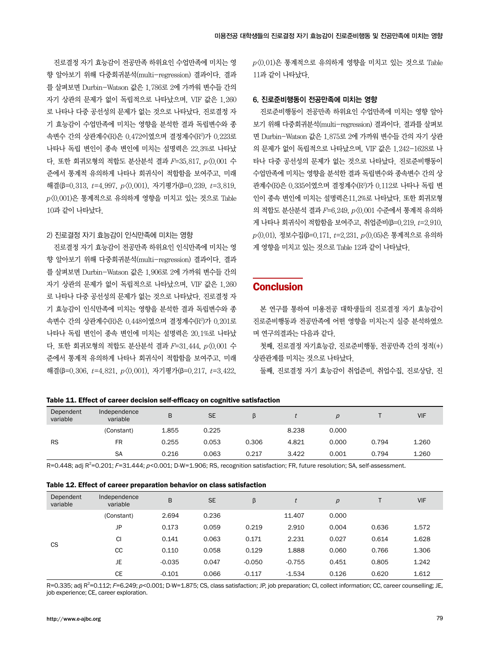진로결정 자기 효능감이 전공만족 하위요인 수업만족에 미치는 영 향 알아보기 위해 다중회귀분석(multi-regression) 결과이다. 결과 를 살펴보면 Durbin-Watson 값은 1.786로 2에 가까워 변수들 간의 자기 상관의 문제가 없이 독립적으로 나타났으며, VIF 값은 1.260 로 나타나 다중 공선성의 문제가 없는 것으로 나타났다. 진로결정 자 기 효능감이 수업만족에 미치는 영향을 분석한 결과 독립변수와 종 속변수 간의 상관계수(R)은 0.472이였으며 결정계수(R2 )가 0.223로 나타나 독립 변인이 종속 변인에 미치는 설명력은 22.3%로 나타났 다. 또한 회귀모형의 적합도 분산분석 결과  $F=35.817$ ,  $p\langle 0.001\rangle \Leftrightarrow$ 준에서 통계적 유의하게 나타나 회귀식이 적합함을 보여주고, 미래 해결(β=0.313, t=4.997, p<0.001), 자기평가(β=0.239, t=3.819,  $p(0.001)$ 은 통계적으로 유의하게 영향을 미치고 있는 것으로 Table 10과 같이 나타났다.

#### 2) 진로결정 자기 효능감이 인식만족에 미치는 영향

진로결정 자기 효능감이 전공만족 하위요인 인식만족에 미치는 영 향 알아보기 위해 다중회귀분석(multi-regression) 결과이다. 결과 를 살펴보면 Durbin-Watson 값은 1.906로 2에 가까워 변수들 간의 자기 상관의 문제가 없이 독립적으로 나타났으며, VIF 값은 1.260 로 나타나 다중 공선성의 문제가 없는 것으로 나타났다. 진로결정 자 기 효능감이 인식만족에 미치는 영향을 분석한 결과 독립변수와 종 속변수 간의 상관계수(R)은 0.448이였으며 결정계수(R2 )가 0.201로 나타나 독립 변인이 종속 변인에 미치는 설명력은 20.1%로 나타났 다. 또한 회귀모형의 적합도 분산분석 결과  $F=31.444$ ,  $p(0.001 \div 10^{-10})$ 준에서 통계적 유의하게 나타나 회귀식이 적합함을 보여주고, 미래 해결(β=0.306,  $t=4.821$ ,  $p(0.001)$ , 자기평가(β=0.217,  $t=3.422$ ,

 $p(0.01)$ 은 통계적으로 유의하게 영향을 미치고 있는 것으로 Table 11과 같이 나타났다.

#### 6. 진로준비행동이 전공만족에 미치는 영향

진로준비행동이 전공만족 하위요인 수업만족에 미치는 영향 알아 보기 위해 다중회귀분석(multi-regression) 결과이다. 결과를 살펴보 면 Durbin-Watson 값은 1.875로 2에 가까워 변수들 간의 자기 상관 의 문제가 없이 독립적으로 나타났으며, VIF 값은 1.242-1628로 나 타나 다중 공선성의 문제가 없는 것으로 나타났다. 진로준비행동이 수업만족에 미치는 영향을 분석한 결과 독립변수와 종속변수 간의 상 관계수(R)은 0.335이였으며 결정계수(R²)가 0.112로 나타나 독립 변 인이 종속 변인에 미치는 설명력은11.2%로 나타났다. 또한 회귀모형 의 적합도 분산분석 결과 F=6.249, p<0.001 수준에서 통계적 유의하 게 나타나 회귀식이 적합함을 보여주고, 취업준비(β=0.219, t=2.910,  $p(0.01)$ , 정보수집(β=0.171, t=2.231,  $p(0.05)$ 은 통계적으로 유의하 게 영향을 미치고 있는 것으로 Table 12과 같이 나타났다.

## **Conclusion**

본 연구를 통하여 미용전공 대학생들의 진로결정 자기 효능감이 진로준비행동과 전공만족에 어떤 영향을 미치는지 실증 분석하였으 며 연구의결과는 다음과 같다.

첫째, 진로결정 자기효능감, 진로준비행동, 전공만족 간의 정적(+) 상관관계를 미치는 것으로 나타났다.

둘째, 진로결정 자기 효능감이 취업준비, 취업수집, 진로상담, 진

|  |  |  |  |  |  |  | Table 11. Effect of career decision self-efficacy on cognitive satisfaction |
|--|--|--|--|--|--|--|-----------------------------------------------------------------------------|
|--|--|--|--|--|--|--|-----------------------------------------------------------------------------|

| Dependent<br>variable | Independence<br>variable | B     | <b>SE</b> |       |       |       |       | <b>VIF</b> |
|-----------------------|--------------------------|-------|-----------|-------|-------|-------|-------|------------|
|                       | (Constant)               | 1.855 | 0.225     |       | 8.238 | 0.000 |       |            |
| <b>RS</b>             | <b>FR</b>                | 0.255 | 0.053     | 0.306 | 4.821 | 0.000 | 0.794 | 1.260      |
|                       | <b>SA</b>                | 0.216 | 0.063     | 0.217 | 3.422 | 0.001 | 0.794 | 1.260      |

R=0.448; adj R<sup>2</sup>=0.201; F=31.444; p<0.001; D-W=1.906; RS, recognition satisfaction; FR, future resolution; SA, self-assessment.

| Table 12. Effect of career preparation behavior on class satisfaction |  |
|-----------------------------------------------------------------------|--|
|-----------------------------------------------------------------------|--|

| Dependent<br>variable | Independence<br>variable | B        | <b>SE</b> | β        |          | $\overline{\rho}$ |       | <b>VIF</b> |
|-----------------------|--------------------------|----------|-----------|----------|----------|-------------------|-------|------------|
|                       | (Constant)               | 2.694    | 0.236     |          | 11.407   | 0.000             |       |            |
|                       | JP                       | 0.173    | 0.059     | 0.219    | 2.910    | 0.004             | 0.636 | 1.572      |
|                       | <b>CI</b>                | 0.141    | 0.063     | 0.171    | 2.231    | 0.027             | 0.614 | 1.628      |
| <b>CS</b>             | <sub>CC</sub>            | 0.110    | 0.058     | 0.129    | 1.888    | 0.060             | 0.766 | 1.306      |
|                       | <b>JE</b>                | $-0.035$ | 0.047     | $-0.050$ | $-0.755$ | 0.451             | 0.805 | 1.242      |
|                       | <b>CE</b>                | $-0.101$ | 0.066     | $-0.117$ | $-1.534$ | 0.126             | 0.620 | 1.612      |

R=0.335; adj R<sup>2</sup>=0.112; F=6.249; p<0.001; D-W=1.875; CS, class satisfaction; JP, job preparation; CI, collect information; CC, career counselling; JE, job experience; CE, career exploration.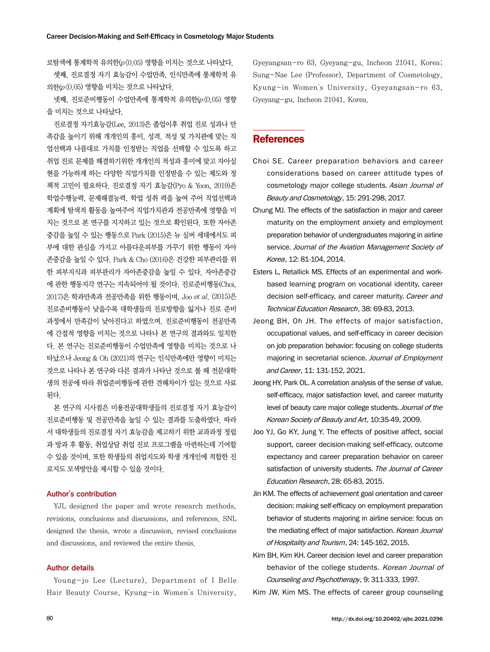로탐색에 통계학적 유의한(p<0.05) 영향을 미치는 것으로 나타났다.

셋째, 진로결정 자기 효능감이 수업만족, 인식만족에 통계학적 유 의한(p<0.05) 영향을 미치는 것으로 나타났다.

넷째, 진로준비행동이 수업만족에 통계학적 유의한(p<0.05) 영향 을 미치는 것으로 나타났다.

진로결정 자기효능감(Lee, 2013)은 졸업이후 취업 진로 성과나 만 족감을 높이기 위해 개개인의 흥미, 성격, 적성 및 가치관에 맞는 직 업선택과 나름대로 가치를 인정받는 직업을 선택할 수 있도록 하고 취업 진로 문제를 해결하기위한 개개인의 적성과 흥미에 맞고 자아실 현을 가능하게 하는 다양한 직업가치를 인정받을 수 있는 제도와 정 책적 고민이 필요하다. 진로결정 자기 효능감(Pyo & Yoon, 2019)은 학업수행능력, 문제해결능력, 학업 성취 력을 높여 주어 직업선택과 계획에 탐색적 활동을 높여주어 직업가치관과 전공만족에 영향을 미 치는 것으로 본 연구를 지지하고 있는 것으로 확인된다. 또한 자아존 중감을 높일 수 있는 행동으로 Park (2015)은 뉴 실버 세대에서도 피 부에 대한 관심을 가지고 아름다운피부를 가꾸기 위한 행동이 자아 존중감을 높일 수 있다. Park & Cho (2016)은 건강한 피부관리를 위 한 피부지식과 피부관리가 자아존중감을 높일 수 있다. 자아존중감 에 관한 행동지각 연구는 지속되어야 될 것이다. 진로준비행동(Choi, 2017)은 학과만족과 전공만족을 위한 행동이며, Joo et al. (2015)은 진로준비행동이 낮을수록 대학생들의 진로방향을 잃거나 진로 준비 과정에서 만족감이 낮아진다고 하였으며, 진로준비행동이 전공만족 에 간접적 영향을 미치는 것으로 나타나 본 연구의 결과와도 일치한 다. 본 연구는 진로준비행동이 수업만족에 영향을 미치는 것으로 나 타났으나 Jeong & Oh (2021)의 연구는 인식만족에만 영향이 미치는 것으로 나타나 본 연구와 다른 결과가 나타난 것으로 볼 때 전문대학 생의 전공에 따라 취업준비행동에 관한 견해차이가 있는 것으로 사료 된다.

본 연구의 시사점은 미용전공대학생들의 진로결정 자기 효능감이 진로준비행동 및 전공만족을 높일 수 있는 결과를 도출하였다. 따라 서 대학생들의 진로결정 자기 효능감을 제고하기 위한 교과과정 정립 과 방과 후 활동, 취업상담 취업 진로 프로그램을 마련하는데 기여할 수 있을 것이며, 또한 학생들의 취업지도와 학생 개개인에 적합한 진 로지도 모색방안을 제시할 수 있을 것이다.

#### Author's contribution

YJL designed the paper and wrote research methods, revisions, conclusions and discussions, and references. SNL designed the thesis, wrote a discussion, revised conclusions and discussions, and reviewed the entire thesis.

#### Author details

Young-jo Lee (Lecture), Department of I Belle Hair Beauty Course, Kyung-in Women's University,

Gyeyangsan-ro 63, Gyeyang-gu, Incheon 21041, Korea; Sung-Nae Lee (Professor), Department of Cosmetology, Kyung-in Women's University, Gyeyangsan-ro 63, Gyeyang-gu, Incheon 21041, Korea.

### **References**

- Choi SE. Career preparation behaviors and career considerations based on career attitude types of cosmetology major college students. Asian Journal of Beauty and Cosmetology, 15: 291-298, 2017.
- Chung MJ. The effects of the satisfaction in major and career maturity on the employment anxiety and employment preparation behavior of undergraduates majoring in airline service. Journal of the Aviation Management Society of Korea, 12: 81-104, 2014.
- Esters L, Retallick MS. Effects of an experimental and workbased learning program on vocational identity, career decision self-efficacy, and career maturity. Career and Technical Education Research, 38: 69-83, 2013.
- Jeong BH, Oh JH. The effects of major satisfaction, occupational values, and self-efficacy in career decision on job preparation behavior: focusing on college students majoring in secretarial science. Journal of Employment and Career, 11: 131-152, 2021.
- Jeong HY, Park OL. A correlation analysis of the sense of value, self-efficacy, major satisfaction level, and career maturity level of beauty care major college students. Journal of the Korean Society of Beauty and Art, 10:35-49, 2009.
- Joo YJ, Go KY, Jung Y. The effects of positive affect, social support, career decision-making self-efficacy, outcome expectancy and career preparation behavior on career satisfaction of university students. The Journal of Career Education Research, 28: 65-83, 2015.
- Jin KM. The effects of achievement goal orientation and career decision: making self-efficacy on employment preparation behavior of students majoring in airline service: focus on the mediating effect of major satisfaction. Korean Journal of Hospitality and Tourism, 24: 145-162, 2015.
- Kim BH, Kim KH. Career decision level and career preparation behavior of the college students. Korean Journal of Counseling and Psychotherapy, 9: 311-333, 1997.

Kim JW, Kim MS. The effects of career group counseling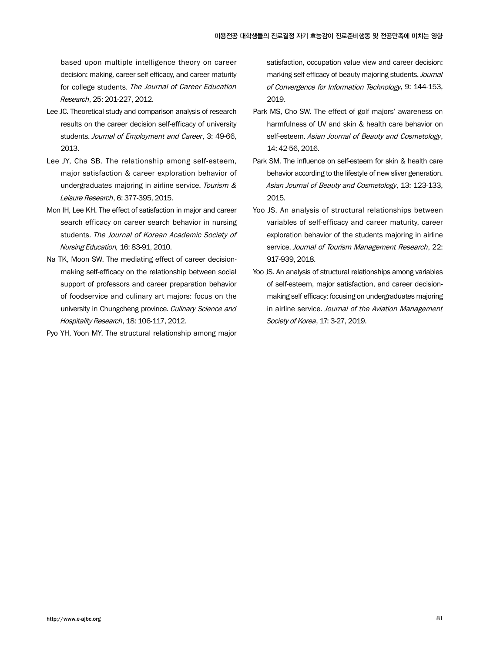based upon multiple intelligence theory on career decision: making, career self-efficacy, and career maturity for college students. The Journal of Career Education Research, 25: 201-227, 2012.

- Lee JC. Theoretical study and comparison analysis of research results on the career decision self-efficacy of university students. Journal of Employment and Career, 3: 49-66, 2013.
- Lee JY, Cha SB. The relationship among self-esteem, major satisfaction & career exploration behavior of undergraduates majoring in airline service. Tourism & Leisure Research, 6: 377-395, 2015.
- Mon IH, Lee KH. The effect of satisfaction in major and career search efficacy on career search behavior in nursing students. The Journal of Korean Academic Society of Nursing Education, 16: 83-91, 2010.
- Na TK, Moon SW. The mediating effect of career decisionmaking self-efficacy on the relationship between social support of professors and career preparation behavior of foodservice and culinary art majors: focus on the university in Chungcheng province. Culinary Science and Hospitality Research, 18: 106-117, 2012.
- Pyo YH, Yoon MY. The structural relationship among major

satisfaction, occupation value view and career decision: marking self-efficacy of beauty majoring students. Journal of Convergence for Information Technology, 9: 144-153, 2019.

- Park MS, Cho SW. The effect of golf majors' awareness on harmfulness of UV and skin & health care behavior on self-esteem. Asian Journal of Beauty and Cosmetology, 14: 42-56, 2016.
- Park SM. The influence on self-esteem for skin & health care behavior according to the lifestyle of new sliver generation. Asian Journal of Beauty and Cosmetology, 13: 123-133, 2015.
- Yoo JS. An analysis of structural relationships between variables of self-efficacy and career maturity, career exploration behavior of the students majoring in airline service. Journal of Tourism Management Research, 22: 917-939, 2018.
- Yoo JS. An analysis of structural relationships among variables of self-esteem, major satisfaction, and career decisionmaking self efficacy: focusing on undergraduates majoring in airline service. Journal of the Aviation Management Society of Korea, 17: 3-27, 2019.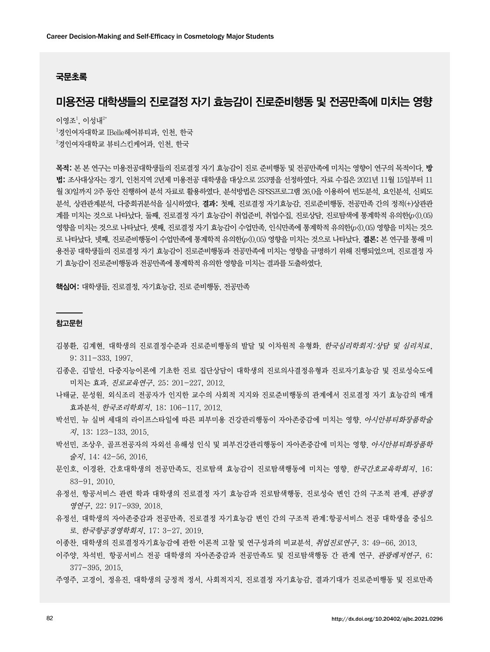#### 국문초록

## 미용전공 대학생들의 진로결정 자기 효능감이 진로준비행동 및 전공만족에 미치는 영향

이영조 $^{\rm l}$ , 이성내 $^{\rm 2*}$ 

 $^{\rm 1}$ 경인여자대학교 IBelle헤어뷰티과, 인천, 한국  $^{2}$ 경인여자대학교 뷰티스킨케어과, 인천, 한국

목적: 본 본 연구는 미용전공대학생들의 진로결정 자기 효능감이 진로 준비행동 및 전공만족에 미치는 영향이 연구의 목적이다. 방 법: 조사대상자는 경기, 인천지역 2년제 미용전공 대학생을 대상으로 253명을 선정하였다. 자료 수집은 2021년 11월 15일부터 11 월 30일까지 2주 동안 진행하여 분석 자료로 활용하였다. 분석방법은 SPSS프로그램 26.0을 이용하여 빈도분석, 요인분석, 신뢰도 분석, 상관관계분석, 다중회귀분석을 실시하였다. 결과: 첫째, 진로결정 자기효능감, 진로준비행동, 전공만족 간의 정적(+)상관관 계를 미치는 것으로 나타났다. 둘째, 진로결정 자기 효능감이 취업준비, 취업수집, 진로상담, 진로탐색에 통계학적 유의한(p<0.05) 영향을 미치는 것으로 나타났다. 셋째, 진로결정 자기 효능감이 수업만족, 인식만족에 통계학적 유의한(p<0.05) 영향을 미치는 것으 로 나타났다. 넷째, 진로준비행동이 수업만족에 통계학적 유의한(p<0.05) 영향을 미치는 것으로 나타났다. 결론: 본 연구를 통해 미 용전공 대학생들의 진로결정 자기 효능감이 진로준비행동과 전공만족에 미치는 영향을 규명하기 위해 진행되었으며, 진로결정 자 기 효능감이 진로준비행동과 전공만족에 통계학적 유의한 영향을 미치는 결과를 도출하였다.

핵심어: 대학생들, 진로결정, 자기효능감, 진로 준비행동, 전공만족

#### 참고문헌

- 김봉환, 김계현. 대학생의 진로결정수준과 진로준비행동의 발달 및 이차원적 유형화. 한국심리학회지:상담 및 심리치료, 9: 311-333, 1997.
- 김종운, 김말선. 다중지능이론에 기초한 진로 집단상담이 대학생의 진로의사결정유형과 진로자기효능감 및 진로성숙도에 미치는 효과. 진로교육연구, 25: 201-227, 2012.
- 나태균, 문성원. 외식조리 전공자가 인지한 교수의 사회적 지지와 진로준비행동의 관계에서 진로결정 자기 효능감의 매개 효과분석. 한국조리학회지, 18: 106-117, 2012.
- 박선민. 뉴 실버 세대의 라이프스타일에 따른 피부미용 건강관리행동이 자아존중감에 미치는 영향. 아시안뷰티화장품학술 지, 13: 123-133, 2015.
- 박선민, 조상우. 골프전공자의 자외선 유해성 인식 및 피부건강관리행동이 자아존중감에 미치는 영향. *아시안뷰티화장품학* 술지, 14: 42-56, 2016.
- 문인호, 이경완. 간호대학생의 전공만족도, 진로탐색 효능감이 진로탐색행동에 미치는 영향. *한국간호교육학회지*, 16: 83-91, 2010.
- 유정선. 항공서비스 관련 학과 대학생의 진로결정 자기 효능감과 진로탐색행동, 진로성숙 변인 간의 구조적 관계. *관광경* 영연구, 22: 917-939, 2018.
- 유정선. 대학생의 자아존중감과 전공만족, 진로결정 자기효능감 변인 간의 구조적 관계:항공서비스 전공 대학생을 중심으 로. 한국항공경영학회지, 17: 3-27, 2019.
- 이종찬. 대학생의 진로결정자기효능감에 관한 이론적 고찰 및 연구성과의 비교분석. 취업진로연구, 3: 49-66, 2013.
- 이주양, 차석빈. 항공서비스 전공 대학생의 자아존중감과 전공만족도 및 진로탐색행동 간 관계 연구. 관광레저연구, 6: 377-395, 2015.
- 주영주, 고경이, 정유진. 대학생의 긍정적 정서, 사회적지지, 진로결정 자기효능감, 결과기대가 진로준비행동 및 진로만족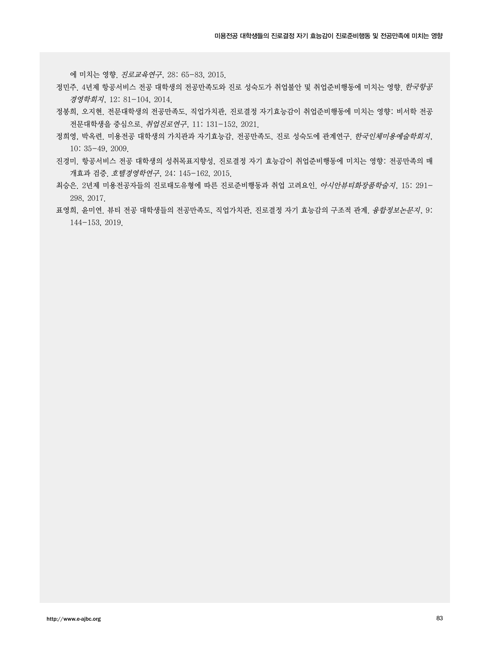에 미치는 영향. 진로교육연구, 28: 65-83, 2015.

- 정민주. 4년제 항공서비스 전공 대학생의 전공만족도와 진로 성숙도가 취업불안 및 취업준비행동에 미치는 영향. 한국항공 경영학회지, 12: 81-104, 2014.
- 정봉희, 오지현. 전문대학생의 전공만족도, 직업가치관, 진로결정 자기효능감이 취업준비행동에 미치는 영향: 비서학 전공 전문대학생을 중심으로. 취업진로연구, 11: 131-152, 2021.
- 정희영, 박옥련. 미용전공 대학생의 가치관과 자기효능감, 전공만족도, 진로 성숙도에 관계연구. 한국인체미용예술학회지, 10: 35-49, 2009.
- 진경미. 항공서비스 전공 대학생의 성취목표지향성, 진로결정 자기 효능감이 취업준비행동에 미치는 영향: 전공만족의 매 개효과 검증. 호텔경영학연구, 24: 145-162, 2015.
- 최승은. 2년제 미용전공자들의 진로태도유형에 따른 진로준비행동과 취업 고려요인. 아시안뷰티화장품학술지, 15: 291- 298, 2017.
- 표영희, 윤미연. 뷰티 전공 대학생들의 전공만족도, 직업가치관, 진로결정 자기 효능감의 구조적 관계. 융합정보논문지, 9: 144-153, 2019.